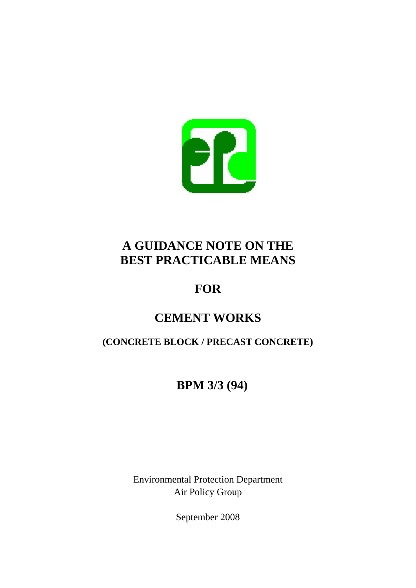

# **A GUIDANCE NOTE ON THE BEST PRACTICABLE MEANS**

# **FOR**

# **CEMENT WORKS**

# **(CONCRETE BLOCK / PRECAST CONCRETE)**

# **BPM 3/3 (94)**

Environmental Protection Department Air Policy Group

September 2008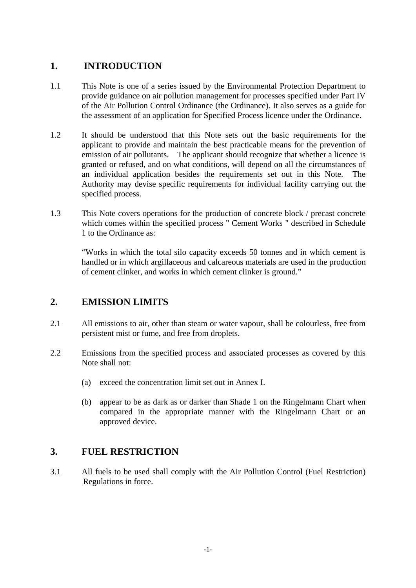# **1. INTRODUCTION**

- 1.1 This Note is one of a series issued by the Environmental Protection Department to provide guidance on air pollution management for processes specified under Part IV of the Air Pollution Control Ordinance (the Ordinance). It also serves as a guide for the assessment of an application for Specified Process licence under the Ordinance.
- 1.2 It should be understood that this Note sets out the basic requirements for the applicant to provide and maintain the best practicable means for the prevention of emission of air pollutants. The applicant should recognize that whether a licence is granted or refused, and on what conditions, will depend on all the circumstances of an individual application besides the requirements set out in this Note. The Authority may devise specific requirements for individual facility carrying out the specified process.
- 1.3 This Note covers operations for the production of concrete block / precast concrete which comes within the specified process " Cement Works " described in Schedule 1 to the Ordinance as:

"Works in which the total silo capacity exceeds 50 tonnes and in which cement is handled or in which argillaceous and calcareous materials are used in the production of cement clinker, and works in which cement clinker is ground."

# **2. EMISSION LIMITS**

- 2.1 All emissions to air, other than steam or water vapour, shall be colourless, free from persistent mist or fume, and free from droplets.
- 2.2 Emissions from the specified process and associated processes as covered by this Note shall not:
	- exceed the concentration limit set out in Annex I.
	- (a) exceed the concentration limit set out in Annex I. (b) appear to be as dark as or darker than Shade 1 on the Ringelmann Chart when compared in the appropriate manner with the Ringelmann Chart or an approved device.

# **3. FUEL RESTRICTION**

3.1 All fuels to be used shall comply with the Air Pollution Control (Fuel Restriction) Regulations in force.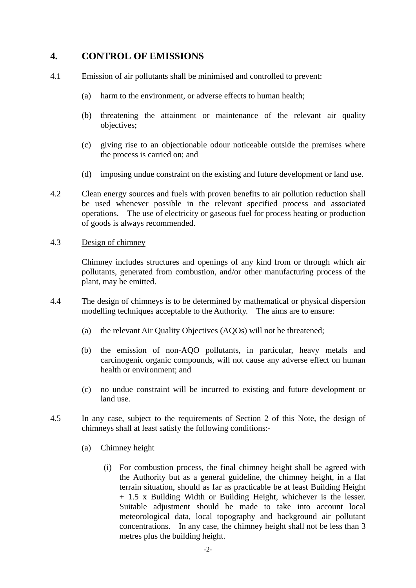### **4. CONTROL OF EMISSIONS**

- 4.1 Emission of air pollutants shall be minimised and controlled to prevent:
	- (a) harm to the environment, or adverse effects to human health;
	- (b) threatening the attainment or maintenance of the relevant air quality objectives;
	- (c) giving rise to an objectionable odour noticeable outside the premises where the process is carried on; and
	- (d) imposing undue constraint on the existing and future development or land use.
- 4.2 Clean energy sources and fuels with proven benefits to air pollution reduction shall be used whenever possible in the relevant specified process and associated operations. The use of electricity or gaseous fuel for process heating or production of goods is always recommended.

#### 4.3 Design of chimney

Chimney includes structures and openings of any kind from or through which air pollutants, generated from combustion, and/or other manufacturing process of the plant, may be emitted.

- 4.4 The design of chimneys is to be determined by mathematical or physical dispersion modelling techniques acceptable to the Authority. The aims are to ensure:
	- (a) the relevant Air Quality Objectives (AQOs) will not be threatened;
	- (b) the emission of non-AQO pollutants, in particular, heavy metals and carcinogenic organic compounds, will not cause any adverse effect on human health or environment; and
	- (c) no undue constraint will be incurred to existing and future development or land use.
- 4.5 In any case, subject to the requirements of Section 2 of this Note, the design of chimneys shall at least satisfy the following conditions:-
	- (a) Chimney height
		- (i) For combustion process, the final chimney height shall be agreed with the Authority but as a general guideline, the chimney height, in a flat terrain situation, should as far as practicable be at least Building Height + 1.5 x Building Width or Building Height, whichever is the lesser. Suitable adjustment should be made to take into account local meteorological data, local topography and background air pollutant concentrations. In any case, the chimney height shall not be less than 3 metres plus the building height.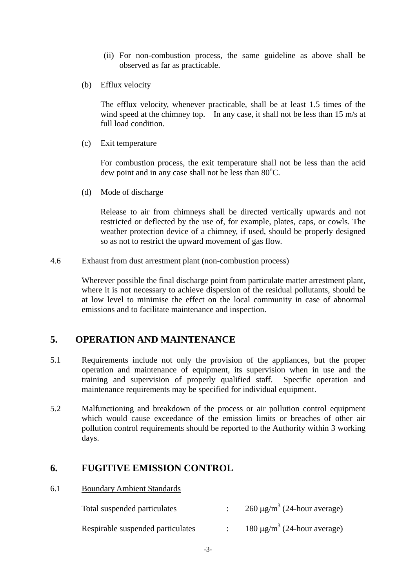- (ii) For non-combustion process, the same guideline as above shall be observed as far as practicable.
- (b) Efflux velocity

The efflux velocity, whenever practicable, shall be at least 1.5 times of the wind speed at the chimney top. In any case, it shall not be less than 15 m/s at full load condition.

(c) Exit temperature

For combustion process, the exit temperature shall not be less than the acid dew point and in any case shall not be less than 80°C.

(d) Mode of discharge

Release to air from chimneys shall be directed vertically upwards and not restricted or deflected by the use of, for example, plates, caps, or cowls. The weather protection device of a chimney, if used, should be properly designed so as not to restrict the upward movement of gas flow.

4.6 Exhaust from dust arrestment plant (non-combustion process)

Wherever possible the final discharge point from particulate matter arrestment plant, where it is not necessary to achieve dispersion of the residual pollutants, should be at low level to minimise the effect on the local community in case of abnormal emissions and to facilitate maintenance and inspection.

# **5. OPERATION AND MAINTENANCE**

- 5.1 Requirements include not only the provision of the appliances, but the proper operation and maintenance of equipment, its supervision when in use and the training and supervision of properly qualified staff. Specific operation and maintenance requirements may be specified for individual equipment.
- 5.2 Malfunctioning and breakdown of the process or air pollution control equipment which would cause exceedance of the emission limits or breaches of other air pollution control requirements should be reported to the Authority within 3 working days.

### **6. FUGITIVE EMISSION CONTROL**

6.1 Boundary Ambient Standards

| Total suspended particulates      | $260 \mu g/m^3$ (24-hour average)            |
|-----------------------------------|----------------------------------------------|
| Respirable suspended particulates | 180 $\mu$ g/m <sup>3</sup> (24-hour average) |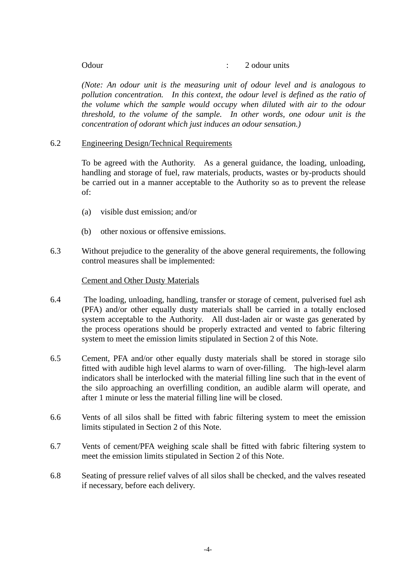#### Odour : 2 odour units

*(Note: An odour unit is the measuring unit of odour level and is analogous to pollution concentration. In this context, the odour level is defined as the ratio of the volume which the sample would occupy when diluted with air to the odour threshold, to the volume of the sample. In other words, one odour unit is the concentration of odorant which just induces an odour sensation.)* 

#### 6.2 Engineering Design/Technical Requirements

To be agreed with the Authority. As a general guidance, the loading, unloading, handling and storage of fuel, raw materials, products, wastes or by-products should be carried out in a manner acceptable to the Authority so as to prevent the release of:

- (a) visible dust emission; and/or
- (b) other noxious or offensive emissions.
- 6.3 Without prejudice to the generality of the above general requirements, the following control measures shall be implemented:

#### Cement and Other Dusty Materials

- system acceptable to the Authority. All dust-laden air or waste gas generated by 6.4 The loading, unloading, handling, transfer or storage of cement, pulverised fuel ash (PFA) and/or other equally dusty materials shall be carried in a totally enclosed the process operations should be properly extracted and vented to fabric filtering system to meet the emission limits stipulated in Section 2 of this Note.
- fitted with audible high level alarms to warn of over-filling. The high-level alarm 6.5 Cement, PFA and/or other equally dusty materials shall be stored in storage silo indicators shall be interlocked with the material filling line such that in the event of the silo approaching an overfilling condition, an audible alarm will operate, and after 1 minute or less the material filling line will be closed.
- 6.6 Vents of all silos shall be fitted with fabric filtering system to meet the emission limits stipulated in Section 2 of this Note.
- 6.7 Vents of cement/PFA weighing scale shall be fitted with fabric filtering system to meet the emission limits stipulated in Section 2 of this Note.
- 6.8 Seating of pressure relief valves of all silos shall be checked, and the valves reseated if necessary, before each delivery.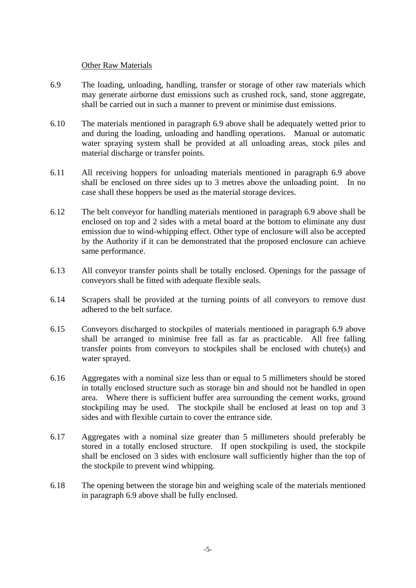#### Other Raw Materials

- 6.9 The loading, unloading, handling, transfer or storage of other raw materials which may generate airborne dust emissions such as crushed rock, sand, stone aggregate, shall be carried out in such a manner to prevent or minimise dust emissions.
- 6.10 The materials mentioned in paragraph 6.9 above shall be adequately wetted prior to and during the loading, unloading and handling operations. Manual or automatic water spraying system shall be provided at all unloading areas, stock piles and material discharge or transfer points.
- 6.11 All receiving hoppers for unloading materials mentioned in paragraph 6.9 above shall be enclosed on three sides up to 3 metres above the unloading point. In no case shall these hoppers be used as the material storage devices.
- 6.12 The belt conveyor for handling materials mentioned in paragraph 6.9 above shall be enclosed on top and 2 sides with a metal board at the bottom to eliminate any dust emission due to wind-whipping effect. Other type of enclosure will also be accepted by the Authority if it can be demonstrated that the proposed enclosure can achieve same performance.
- 6.13 All conveyor transfer points shall be totally enclosed. Openings for the passage of conveyors shall be fitted with adequate flexible seals.
- 6.14 Scrapers shall be provided at the turning points of all conveyors to remove dust adhered to the belt surface.
- 6.15 Conveyors discharged to stockpiles of materials mentioned in paragraph 6.9 above shall be arranged to minimise free fall as far as practicable. All free falling transfer points from conveyors to stockpiles shall be enclosed with chute(s) and water sprayed.
- 6.16 Aggregates with a nominal size less than or equal to 5 millimeters should be stored in totally enclosed structure such as storage bin and should not be handled in open area. Where there is sufficient buffer area surrounding the cement works, ground stockpiling may be used. The stockpile shall be enclosed at least on top and 3 sides and with flexible curtain to cover the entrance side.
- 6.17 Aggregates with a nominal size greater than 5 millimeters should preferably be stored in a totally enclosed structure. If open stockpiling is used, the stockpile shall be enclosed on 3 sides with enclosure wall sufficiently higher than the top of the stockpile to prevent wind whipping.
- 6.18 The opening between the storage bin and weighing scale of the materials mentioned in paragraph 6.9 above shall be fully enclosed.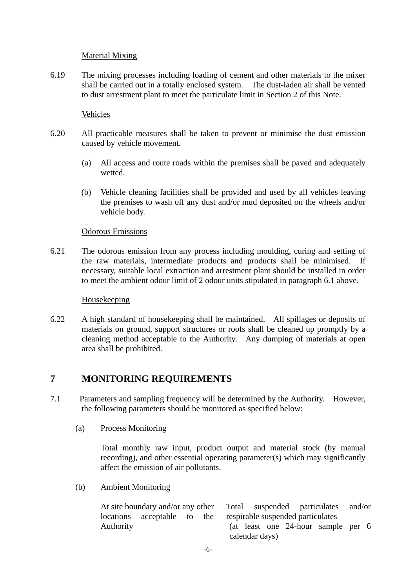#### Material Mixing

6.19 The mixing processes including loading of cement and other materials to the mixer shall be carried out in a totally enclosed system. The dust-laden air shall be vented to dust arrestment plant to meet the particulate limit in Section 2 of this Note.

### Vehicles

- 6.20 All practicable measures shall be taken to prevent or minimise the dust emission caused by vehicle movement.
	- (a) All access and route roads within the premises shall be paved and adequately wetted.
	- (b) Vehicle cleaning facilities shall be provided and used by all vehicles leaving the premises to wash off any dust and/or mud deposited on the wheels and/or vehicle body.

#### Odorous Emissions

6.21 The odorous emission from any process including moulding, curing and setting of the raw materials, intermediate products and products shall be minimised. necessary, suitable local extraction and arrestment plant should be installed in order to meet the ambient odour limit of 2 odour units stipulated in paragraph 6.1 above.

#### Housekeeping

6.22 A high standard of housekeeping shall be maintained. All spillages or deposits of materials on ground, support structures or roofs shall be cleaned up promptly by a cleaning method acceptable to the Authority. Any dumping of materials at open area shall be prohibited.

### **7 MONITORING REQUIREMENTS**

- 7.1 Parameters and sampling frequency will be determined by the Authority. However, the following parameters should be monitored as specified below:
	- (a) Process Monitoring

Total monthly raw input, product output and material stock (by manual recording), and other essential operating parameter(s) which may significantly affect the emission of air pollutants.

(b) Ambient Monitoring

|                | At site boundary and/or any other Total suspended particulates and/or |  |  |                                                               |  |  |                                    |  |  |
|----------------|-----------------------------------------------------------------------|--|--|---------------------------------------------------------------|--|--|------------------------------------|--|--|
|                |                                                                       |  |  | locations acceptable to the respirable suspended particulates |  |  |                                    |  |  |
| Authority      |                                                                       |  |  |                                                               |  |  | (at least one 24-hour sample per 6 |  |  |
| calendar days) |                                                                       |  |  |                                                               |  |  |                                    |  |  |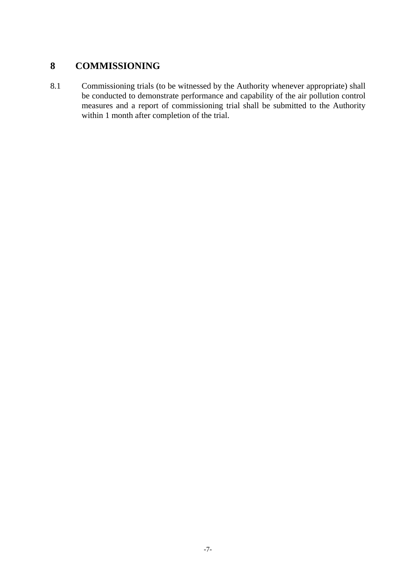# **8 COMMISSIONING**

8.1 Commissioning trials (to be witnessed by the Authority whenever appropriate) shall be conducted to demonstrate performance and capability of the air pollution control measures and a report of commissioning trial shall be submitted to the Authority within 1 month after completion of the trial.